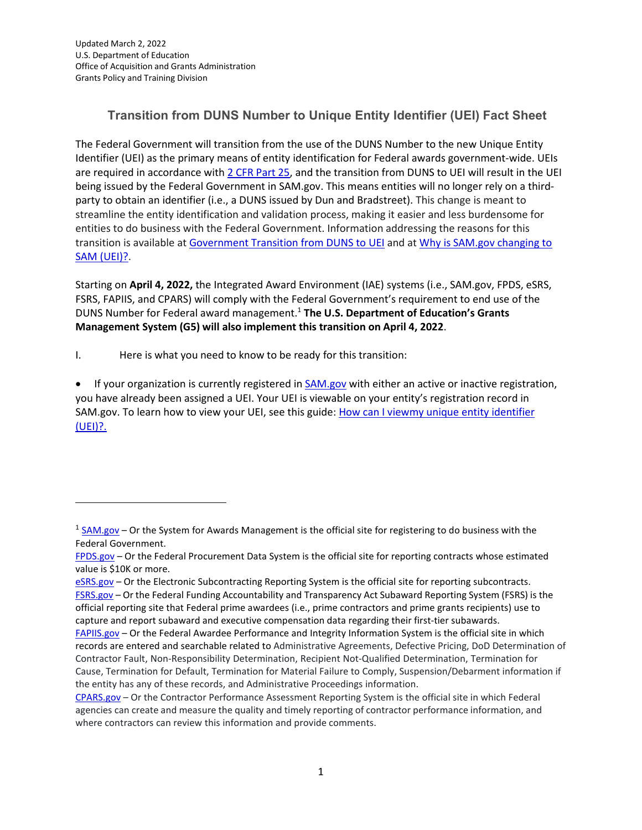## **Transition from DUNS Number to Unique Entity Identifier (UEI) Fact Sheet**

The Federal Government will transition from the use of the DUNS Number to the new Unique Entity Identifier (UEI) as the primary means of entity identification for Federal awards government-wide. UEIs are required in accordance with [2 CFR Part 25, a](https://www.ecfr.gov/current/title-2/subtitle-A/chapter-I/part-25)nd the transition from DUNS to UEI will result in the UEI being issued by the Federal Government in SAM.gov. This means entities will no longer rely on a thirdparty to obtain an identifier (i.e., a DUNS issued by Dun and Bradstreet). This change is meant to streamline the entity identification and validation process, making it easier and less burdensome for entities to do business with the Federal Government. Information addressing the reasons for this transition is available a[t Government Transition from DUNS to UEI](https://www.gsa.gov/about-us/organization/federal-acquisition-service/office-of-systems-management/integrated-award-environment-iae/iae-systems-information-kit/unique-entity-identifier-update) and at [Why is SAM.gov changing to](https://www.fsd.gov/gsafsd_sp?id=kb_article_view&sysparm_article=KB0045975&sys_kb_id=e553c7dc1b2e30106397ec21f54bcb47&spa=1) [SAM \(UEI\)?.](https://www.fsd.gov/gsafsd_sp?id=kb_article_view&sysparm_article=KB0045975&sys_kb_id=e553c7dc1b2e30106397ec21f54bcb47&spa=1)

Starting on **April 4, 2022,** the Integrated Award Environment (IAE) systems (i.e., SAM.gov, FPDS, eSRS, FSRS, FAPIIS, and CPARS) will comply with the Federal Government's requirement to end use of the DUNS Number for Federal award management[.1](#page-0-0) **The U.S. Department of Education's Grants Management System (G5) will also implement this transition on April 4, 2022**.

I. Here is what you need to know to be ready for this transition:

• If your organization is currently registered in [SAM.gov](https://sam.gov/content/home) with either an active or inactive registration, you have already been assigned a UEI. Your UEI is viewable on your entity's registration record in SAM.gov. To learn how to view your UEI, see this guide: [How can I viewm](https://www.fsd.gov/gsafsd_sp?id=kb_article_view&sysparm_article=KB0041254&sys_kb_id=a05adbae1b59f8982fe5ed7ae54bcbba&spa=1)y unique entity [identifier](https://www.fsd.gov/gsafsd_sp?id=kb_article_view&sysparm_article=KB0041254&sys_kb_id=a05adbae1b59f8982fe5ed7ae54bcbba&spa=1) [\(UEI\)?.](https://www.fsd.gov/gsafsd_sp?id=kb_article_view&sysparm_article=KB0041254&sys_kb_id=a05adbae1b59f8982fe5ed7ae54bcbba&spa=1)

<span id="page-0-0"></span> $1$  [SAM.gov –](https://sam.gov/content/home) Or the System for Awards Management is the official site for registering to do business with the Federal Government.

[FPDS.gov](https://fpds.gov/) – Or the Federal Procurement Data System is the official site for reporting contracts whose estimated value is \$10K or more.

[eSRS.gov](https://esrs.gov/) - Or the Electronic Subcontracting Reporting System is the official site for reporting subcontracts. [FSRS.gov](https://fsrs.gov/) – Or the Federal Funding Accountability and Transparency Act Subaward Reporting System (FSRS) is the official reporting site that Federal prime awardees (i.e., prime contractors and prime grants recipients) use to capture and report subaward and executive compensation data regarding their first-tier subawards.

[FAPIIS.gov](https://fapiis.gov/) – Or the Federal Awardee Performance and Integrity Information System is the official site in which records are entered and searchable related to Administrative Agreements, Defective Pricing, DoD Determination of Contractor Fault, Non-Responsibility Determination, Recipient Not-Qualified Determination, Termination for Cause, Termination for Default, Termination for Material Failure to Comply, Suspension/Debarment information if the entity has any of these records, and Administrative Proceedings information.

[CPARS.gov](https://cpars.gov/) – Or the Contractor Performance Assessment Reporting System is the official site in which Federal agencies can create and measure the quality and timely reporting of contractor performance information, and where contractors can review this information and provide comments.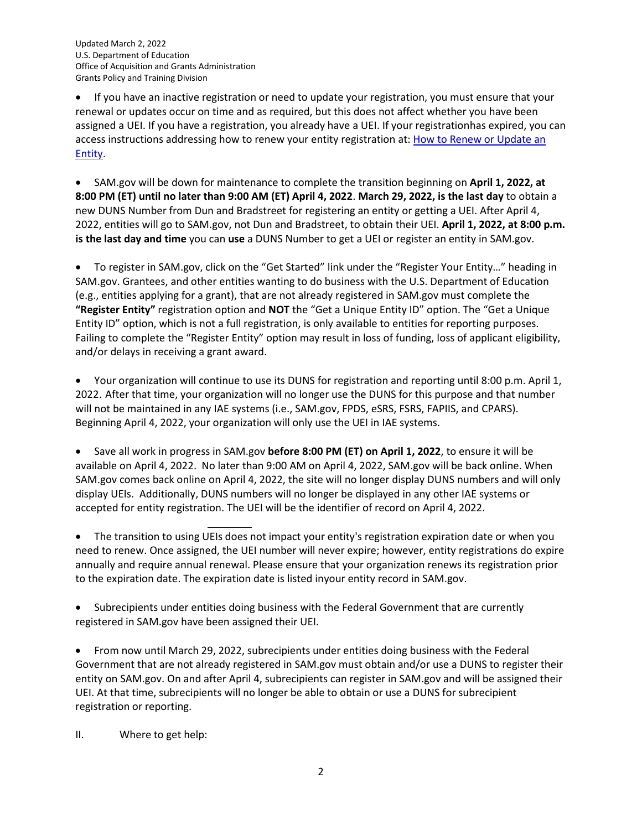Updated March 2, 2022 U.S. Department of Education Office of Acquisition and Grants Administration Grants Policy and Training Division

• If you have an inactive registration or need to update your registration, you must ensure that your renewal or updates occur on time and as required, but this does not affect whether you have been assigned a UEI. If you have a registration, you already have a UEI. If your registrationhas expired, you can access instructions addressing how to renew your entity registration at: How to Renew [or Update](https://www.fsd.gov/gsafsd_sp?id=kb_article_view&sysparm_article=KB0039526&sys_kb_id=0575c1c81b8138905465eaccac4bcb16&spa=1) an [Entity.](https://www.fsd.gov/gsafsd_sp?id=kb_article_view&sysparm_article=KB0039526&sys_kb_id=0575c1c81b8138905465eaccac4bcb16&spa=1)

• SAM.gov will be down for maintenance to complete the transition beginning on **April 1, 2022, at 8:00 PM (ET) until no later than 9:00 AM (ET) April 4, 2022**. **March 29, 2022, is the last day** to obtain a new DUNS Number from Dun and Bradstreet for registering an entity or getting a UEI. After April 4, 2022, entities will go to SAM.gov, not Dun and Bradstreet, to obtain their UEI. **April 1, 2022, at 8:00 p.m. is the last day and time** you can **use** a DUNS Number to get a UEI or register an entity in SAM.gov.

• To register in SAM.gov, click on the "Get Started" link under the "Register Your Entity…" heading in [SAM.gov.](https://sam.gov/content/home) Grantees, and other entities wanting to do business with the U.S. Department of Education (e.g., entities applying for a grant), that are not already registered in SAM.gov must complete the **"Register Entity"** registration option and **NOT** the "Get a Unique Entity ID" option. The "Get a Unique Entity ID" option, which is not a full registration, is only available to entities for reporting purposes. Failing to complete the "Register Entity" option may result in loss of funding, loss of applicant eligibility, and/or delays in receiving a grant award.

• Your organization will continue to use its DUNS for registration and reporting until 8:00 p.m. April 1, 2022. After that time, your organization will no longer use the DUNS for this purpose and that number will not be maintained in any IAE systems (i.e., SAM.gov, FPDS, eSRS, FSRS, FAPIIS, and CPARS). Beginning April 4, 2022, your organization will only use the UEI in IAE systems.

• Save all work in progress in SAM.gov **before 8:00 PM (ET) on April 1, 2022**, to ensure it will be available on April 4, 2022. No later than 9:00 AM on April 4, 2022, SAM.gov will be back online. When SAM.gov comes back online on April 4, 2022, the site will no longer display DUNS numbers and will only display UEIs. Additionally, DUNS numbers will no longer be displayed in any other IAE systems or accepted for entity registration. The UEI will be the identifier of record on April 4, 2022.

• The transition to using UEIs does not impact your entity's registration expiration date or when you need to renew. Once assigned, the UEI number will never expire; however, entity registrations do expire annually and require annual renewal. Please ensure that your organization renews its registration prior to the expiration date. The expiration date is listed inyour entity record in SAM.gov.

• Subrecipients under entities doing business with the Federal Government that are currently registered in SAM.gov have been assigned their UEI.

• From now until March 29, 2022, subrecipients under entities doing business with the Federal Government that are not already registered in SAM.gov must obtain and/or use a DUNS to register their entity on SAM.gov. On and after April 4, subrecipients can register in SAM.gov and will be assigned their UEI. At that time, subrecipients will no longer be able to obtain or use a DUNS for subrecipient registration or reporting.

II. Where to get help: